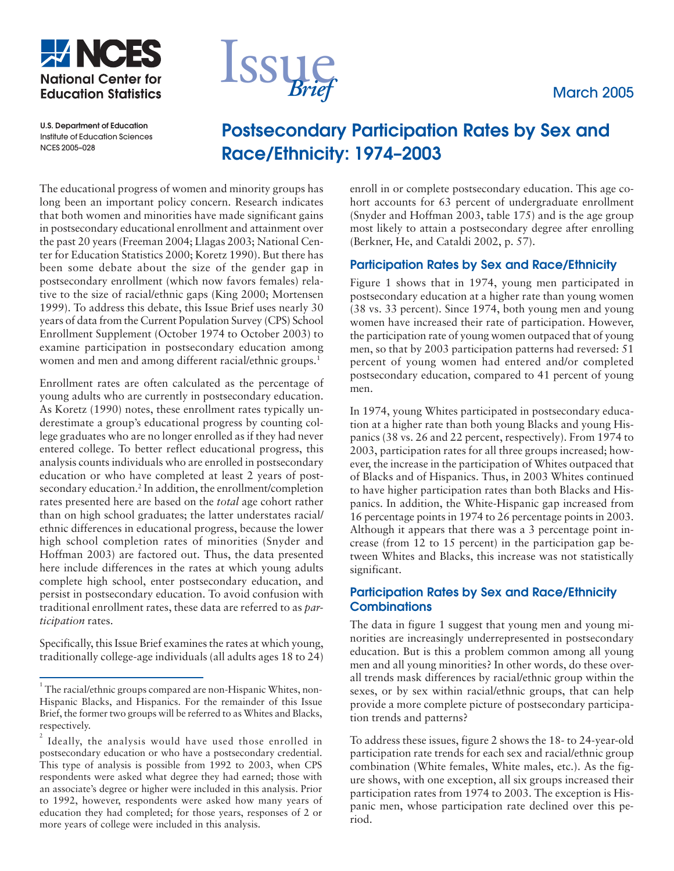





**U.S. Department of Education** Institute of Education Sciences NCES 2005–028

# **Postsecondary Participation Rates by Sex and Race/Ethnicity: 1974–2003**

The educational progress of women and minority groups has long been an important policy concern. Research indicates that both women and minorities have made significant gains in postsecondary educational enrollment and attainment over the past 20 years (Freeman 2004; Llagas 2003; National Center for Education Statistics 2000; Koretz 1990). But there has been some debate about the size of the gender gap in postsecondary enrollment (which now favors females) relative to the size of racial/ethnic gaps (King 2000; Mortensen 1999). To address this debate, this Issue Brief uses nearly 30 years of data from the Current Population Survey (CPS) School Enrollment Supplement (October 1974 to October 2003) to examine participation in postsecondary education among women and men and among different racial/ethnic groups.<sup>1</sup>

Enrollment rates are often calculated as the percentage of young adults who are currently in postsecondary education. As Koretz (1990) notes, these enrollment rates typically underestimate a group's educational progress by counting college graduates who are no longer enrolled as if they had never entered college. To better reflect educational progress, this analysis counts individuals who are enrolled in postsecondary education or who have completed at least 2 years of postsecondary education.2 In addition, the enrollment/completion rates presented here are based on the *total* age cohort rather than on high school graduates; the latter understates racial/ ethnic differences in educational progress, because the lower high school completion rates of minorities (Snyder and Hoffman 2003) are factored out. Thus, the data presented here include differences in the rates at which young adults complete high school, enter postsecondary education, and persist in postsecondary education. To avoid confusion with traditional enrollment rates, these data are referred to as *participation* rates.

Specifically, this Issue Brief examines the rates at which young, traditionally college-age individuals (all adults ages 18 to 24) enroll in or complete postsecondary education. This age cohort accounts for 63 percent of undergraduate enrollment (Snyder and Hoffman 2003, table 175) and is the age group most likely to attain a postsecondary degree after enrolling (Berkner, He, and Cataldi 2002, p. 57).

## **Participation Rates by Sex and Race/Ethnicity**

Figure 1 shows that in 1974, young men participated in postsecondary education at a higher rate than young women (38 vs. 33 percent). Since 1974, both young men and young women have increased their rate of participation. However, the participation rate of young women outpaced that of young men, so that by 2003 participation patterns had reversed: 51 percent of young women had entered and/or completed postsecondary education, compared to 41 percent of young men.

In 1974, young Whites participated in postsecondary education at a higher rate than both young Blacks and young Hispanics (38 vs. 26 and 22 percent, respectively). From 1974 to 2003, participation rates for all three groups increased; however, the increase in the participation of Whites outpaced that of Blacks and of Hispanics. Thus, in 2003 Whites continued to have higher participation rates than both Blacks and Hispanics. In addition, the White-Hispanic gap increased from 16 percentage points in 1974 to 26 percentage points in 2003. Although it appears that there was a 3 percentage point increase (from 12 to 15 percent) in the participation gap between Whites and Blacks, this increase was not statistically significant.

## **Participation Rates by Sex and Race/Ethnicity Combinations**

The data in figure 1 suggest that young men and young minorities are increasingly underrepresented in postsecondary education. But is this a problem common among all young men and all young minorities? In other words, do these overall trends mask differences by racial/ethnic group within the sexes, or by sex within racial/ethnic groups, that can help provide a more complete picture of postsecondary participation trends and patterns?

To address these issues, figure 2 shows the 18- to 24-year-old participation rate trends for each sex and racial/ethnic group combination (White females, White males, etc.). As the figure shows, with one exception, all six groups increased their participation rates from 1974 to 2003. The exception is Hispanic men, whose participation rate declined over this period.

 $^1$ The racial/ethnic groups compared are non-Hispanic Whites, non-Hispanic Blacks, and Hispanics. For the remainder of this Issue Brief, the former two groups will be referred to as Whites and Blacks, respectively.

<sup>2</sup> Ideally, the analysis would have used those enrolled in postsecondary education or who have a postsecondary credential. This type of analysis is possible from 1992 to 2003, when CPS respondents were asked what degree they had earned; those with an associate's degree or higher were included in this analysis. Prior to 1992, however, respondents were asked how many years of education they had completed; for those years, responses of 2 or more years of college were included in this analysis.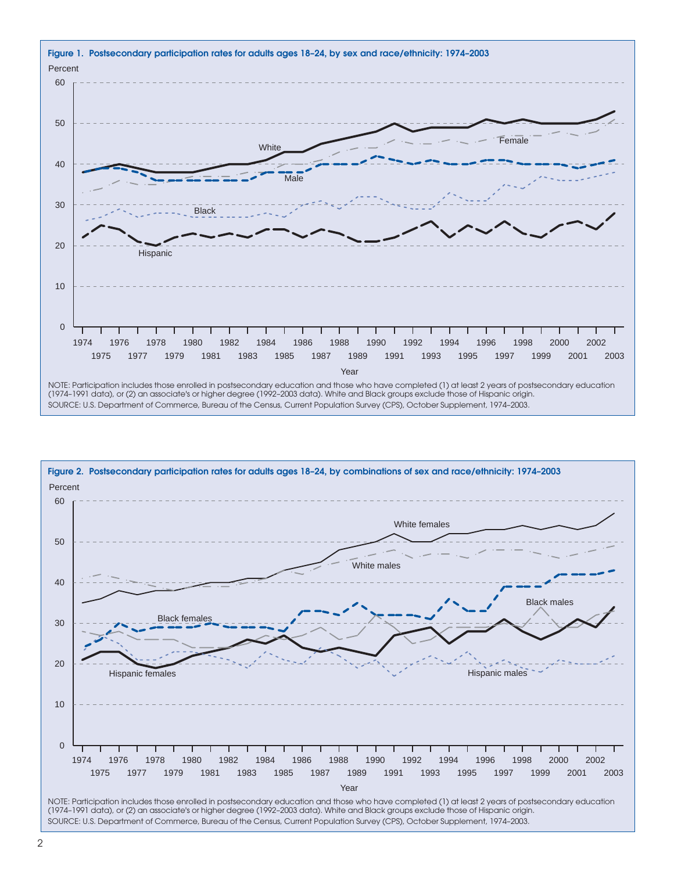

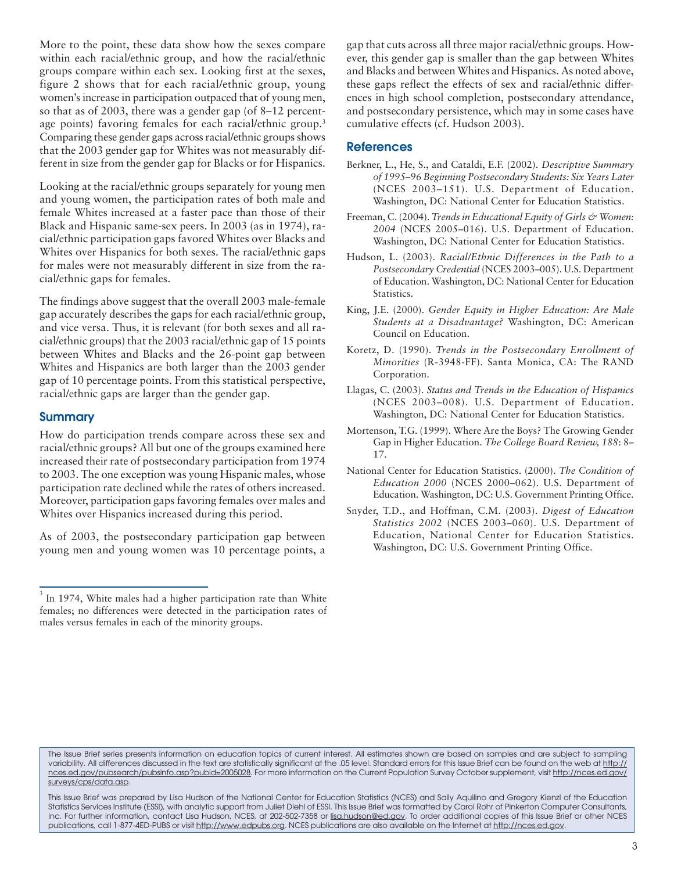More to the point, these data show how the sexes compare within each racial/ethnic group, and how the racial/ethnic groups compare within each sex. Looking first at the sexes, figure 2 shows that for each racial/ethnic group, young women's increase in participation outpaced that of young men, so that as of 2003, there was a gender gap (of 8–12 percentage points) favoring females for each racial/ethnic group.<sup>3</sup> Comparing these gender gaps across racial/ethnic groups shows that the 2003 gender gap for Whites was not measurably different in size from the gender gap for Blacks or for Hispanics.

Looking at the racial/ethnic groups separately for young men and young women, the participation rates of both male and female Whites increased at a faster pace than those of their Black and Hispanic same-sex peers. In 2003 (as in 1974), racial/ethnic participation gaps favored Whites over Blacks and Whites over Hispanics for both sexes. The racial/ethnic gaps for males were not measurably different in size from the racial/ethnic gaps for females.

The findings above suggest that the overall 2003 male-female gap accurately describes the gaps for each racial/ethnic group, and vice versa. Thus, it is relevant (for both sexes and all racial/ethnic groups) that the 2003 racial/ethnic gap of 15 points between Whites and Blacks and the 26-point gap between Whites and Hispanics are both larger than the 2003 gender gap of 10 percentage points. From this statistical perspective, racial/ethnic gaps are larger than the gender gap.

#### **Summary**

How do participation trends compare across these sex and racial/ethnic groups? All but one of the groups examined here increased their rate of postsecondary participation from 1974 to 2003. The one exception was young Hispanic males, whose participation rate declined while the rates of others increased. Moreover, participation gaps favoring females over males and Whites over Hispanics increased during this period.

As of 2003, the postsecondary participation gap between young men and young women was 10 percentage points, a gap that cuts across all three major racial/ethnic groups. However, this gender gap is smaller than the gap between Whites and Blacks and between Whites and Hispanics. As noted above, these gaps reflect the effects of sex and racial/ethnic differences in high school completion, postsecondary attendance, and postsecondary persistence, which may in some cases have cumulative effects (cf. Hudson 2003).

#### **References**

- Berkner, L., He, S., and Cataldi, E.F. (2002). *Descriptive Summary of 1995–96 Beginning Postsecondary Students: Six Years Later* (NCES 2003–151). U.S. Department of Education. Washington, DC: National Center for Education Statistics.
- Freeman, C. (2004). *Trends in Educational Equity of Girls & Women: 2004* (NCES 2005–016). U.S. Department of Education. Washington, DC: National Center for Education Statistics.
- Hudson, L. (2003). *Racial/Ethnic Differences in the Path to a Postsecondary Credential* (NCES 2003–005). U.S. Department of Education. Washington, DC: National Center for Education Statistics.
- King, J.E. (2000). *Gender Equity in Higher Education: Are Male Students at a Disadvantage?* Washington, DC: American Council on Education.
- Koretz, D. (1990). *Trends in the Postsecondary Enrollment of Minorities* (R-3948-FF). Santa Monica, CA: The RAND Corporation.
- Llagas, C. (2003). *Status and Trends in the Education of Hispanics* (NCES 2003–008). U.S. Department of Education. Washington, DC: National Center for Education Statistics.
- Mortenson, T.G. (1999). Where Are the Boys? The Growing Gender Gap in Higher Education. *The College Board Review, 188*: 8– 17.
- National Center for Education Statistics. (2000). *The Condition of Education 2000* (NCES 2000–062). U.S. Department of Education. Washington, DC: U.S. Government Printing Office.
- Snyder, T.D., and Hoffman, C.M. (2003). *Digest of Education Statistics 2002* (NCES 2003–060). U.S. Department of Education, National Center for Education Statistics. Washington, DC: U.S. Government Printing Office.

 $3$  In 1974, White males had a higher participation rate than White females; no differences were detected in the participation rates of males versus females in each of the minority groups.

The Issue Brief series presents information on education topics of current interest. All estimates shown are based on samples and are subject to sampling variability. All differences discussed in the text are statistically significant at the .05 level. Standard errors for this Issue Brief can be found on the web at http:// nces.ed.gov/pubsearch/pubsinfo.asp?pubid=2005028. For more information on the Current Population Survey October supplement, visit http://nces.ed.gov/ surveys/cps/data.asp.

This Issue Brief was prepared by Lisa Hudson of the National Center for Education Statistics (NCES) and Sally Aquilino and Gregory Kienzl of the Education Statistics Services Institute (ESSI), with analytic support from Juliet Diehl of ESSI. This Issue Brief was formatted by Carol Rohr of Pinkerton Computer Consultants, Inc. For further information, contact Lisa Hudson, NCES, at 202-502-7358 or lisa.hudson@ed.gov. To order additional copies of this Issue Brief or other NCES publications, call 1-877-4ED-PUBS or visit http://www.edpubs.org. NCES publications are also available on the Internet at http://nces.ed.gov.